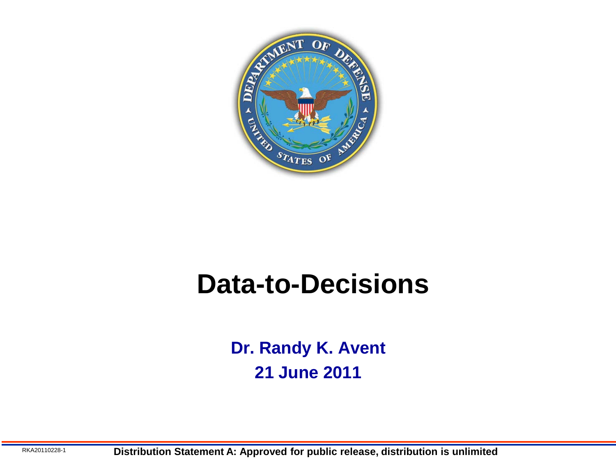

### **Data-to-Decisions**

**Dr. Randy K. Avent 21 June 2011**

RKA20110228-1 **Distribution Statement A: Approved for public release, distribution is unlimited**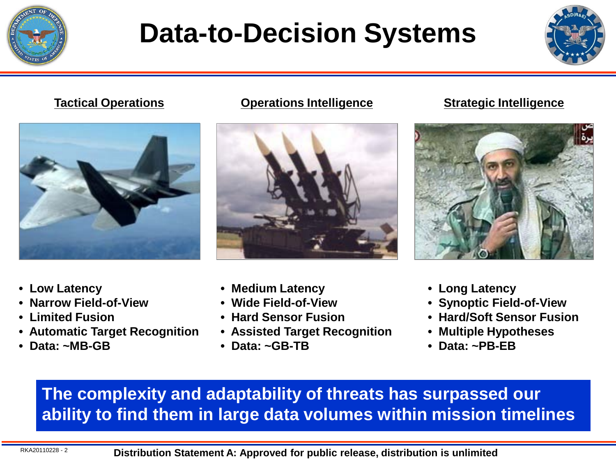

## **Data-to-Decision Systems**





**Tactical Operations Operations Intelligence Strategic Intelligence**



### **• Low Latency**

- **Narrow Field-of-View**
- **Limited Fusion**
- **Automatic Target Recognition**
- **Data: ~MB-GB**
- **Medium Latency**
- **Wide Field-of-View**
- **Hard Sensor Fusion**
- **Assisted Target Recognition**
- **Data: ~GB-TB**



- **Long Latency**
- **Synoptic Field-of-View**
- **Hard/Soft Sensor Fusion**
- **Multiple Hypotheses**
- **Data: ~PB-EB**

**The complexity and adaptability of threats has surpassed our ability to find them in large data volumes within mission timelines**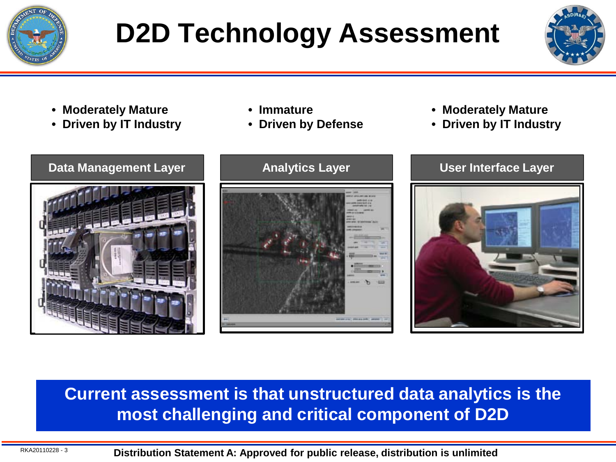

# **D2D Technology Assessment**



- **Moderately Mature**
- **Driven by IT Industry**
- **Immature**
- **Driven by Defense**
- **Moderately Mature**
- **Driven by IT Industry**







### **Current assessment is that unstructured data analytics is the most challenging and critical component of D2D**

RKA20110228 - 3 **Distribution Statement A: Approved for public release, distribution is unlimited**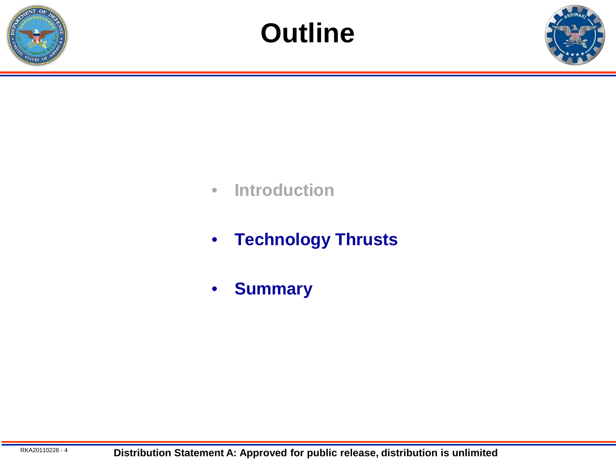



- **Introduction**
- **Technology Thrusts**
- **Summary**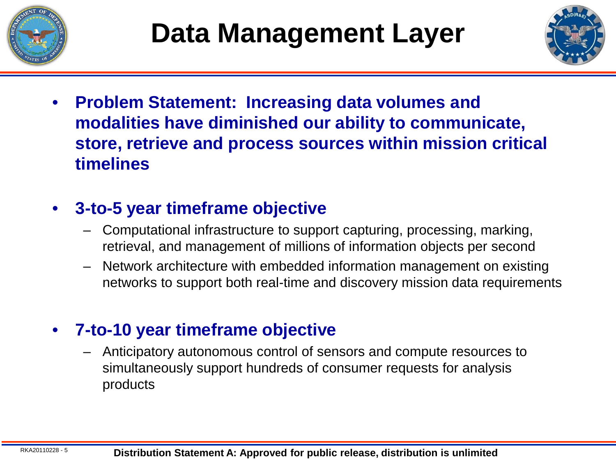



• **Problem Statement: Increasing data volumes and modalities have diminished our ability to communicate, store, retrieve and process sources within mission critical timelines**

### • **3-to-5 year timeframe objective**

- Computational infrastructure to support capturing, processing, marking, retrieval, and management of millions of information objects per second
- Network architecture with embedded information management on existing networks to support both real-time and discovery mission data requirements

### • **7-to-10 year timeframe objective**

– Anticipatory autonomous control of sensors and compute resources to simultaneously support hundreds of consumer requests for analysis products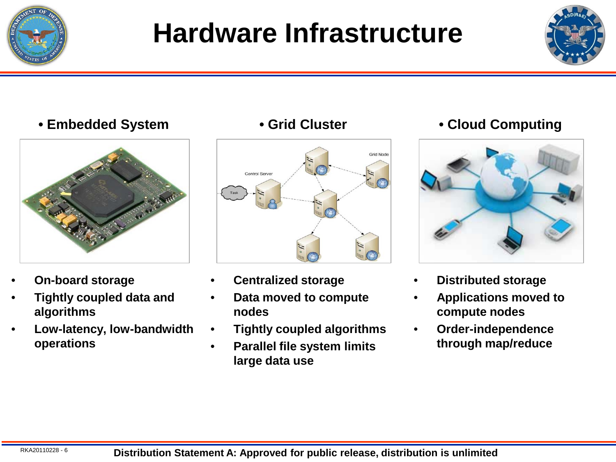

## **Hardware Infrastructure**



### **• Embedded System • Grid Cluster • Cloud Computing**



- **On-board storage**
- **Tightly coupled data and algorithms**
- **Low-latency, low-bandwidth operations**



- **Centralized storage**
- **Data moved to compute nodes**
- **Tightly coupled algorithms**
- **Parallel file system limits large data use**



- **Distributed storage**
- **Applications moved to compute nodes**
- **Order-independence through map/reduce**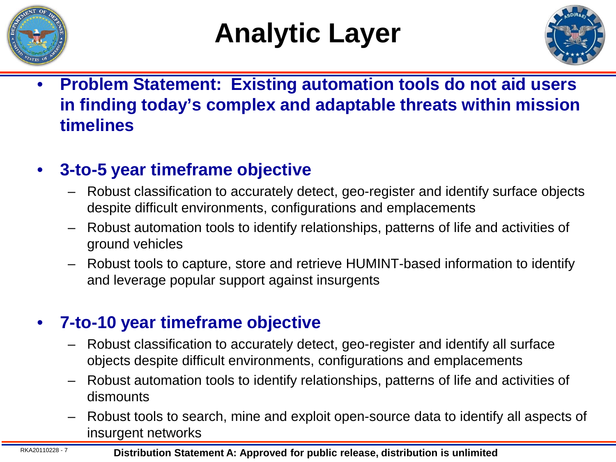

## **Analytic Layer**



• **Problem Statement: Existing automation tools do not aid users in finding today's complex and adaptable threats within mission timelines**

### • **3-to-5 year timeframe objective**

- Robust classification to accurately detect, geo-register and identify surface objects despite difficult environments, configurations and emplacements
- Robust automation tools to identify relationships, patterns of life and activities of ground vehicles
- Robust tools to capture, store and retrieve HUMINT-based information to identify and leverage popular support against insurgents

### • **7-to-10 year timeframe objective**

- Robust classification to accurately detect, geo-register and identify all surface objects despite difficult environments, configurations and emplacements
- Robust automation tools to identify relationships, patterns of life and activities of dismounts
- Robust tools to search, mine and exploit open-source data to identify all aspects of insurgent networks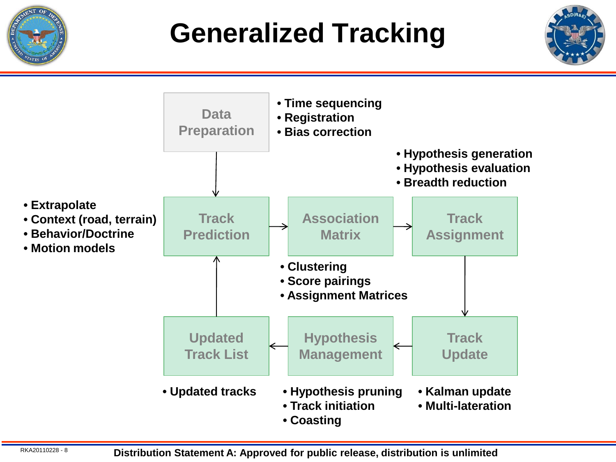

## **Generalized Tracking**



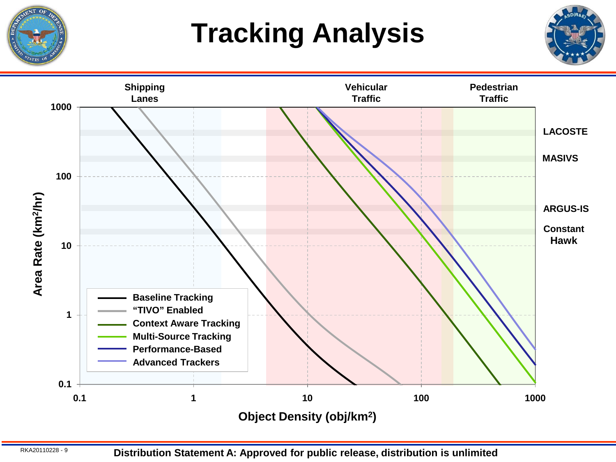

# **Tracking Analysis**





RKA20110228 - 9 **Distribution Statement A: Approved for public release, distribution is unlimited**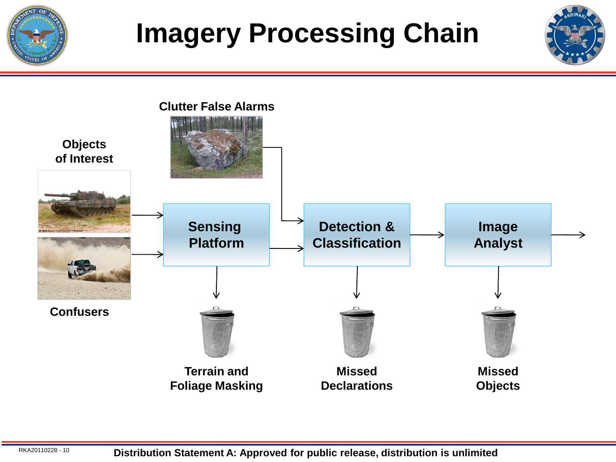

## **Imagery Processing Chain**

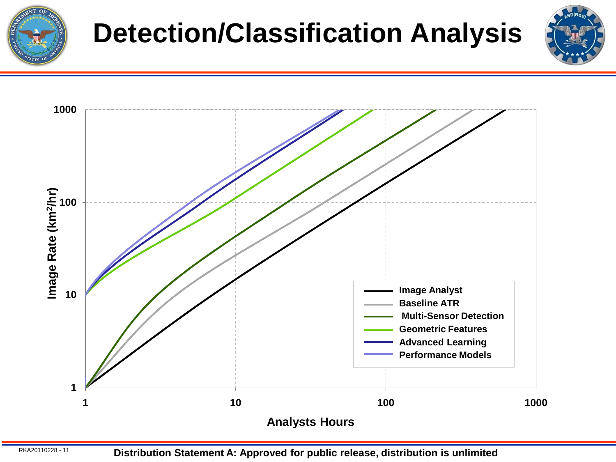

## **Detection/Classification Analysis**





RKA20110228 - <sup>11</sup> **Distribution Statement A: Approved for public release, distribution is unlimited**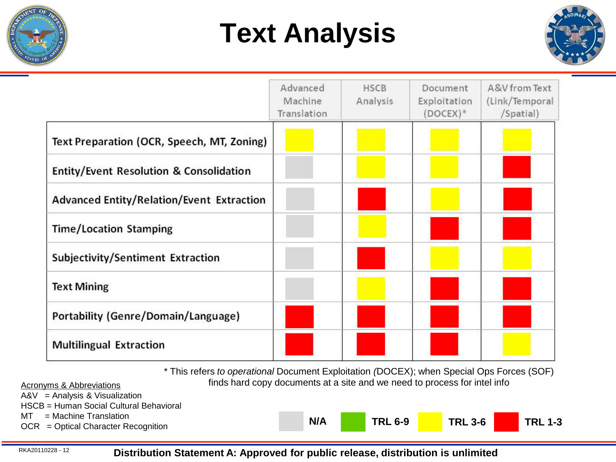

## **Text Analysis**



|                                            | Advanced<br>Machine<br>Translation | <b>HSCB</b><br>Analysis | Document<br>Exploitation<br>$(DOCEX)*$ | A&V from Text<br>(Link/Temporal<br>/Spatial) |
|--------------------------------------------|------------------------------------|-------------------------|----------------------------------------|----------------------------------------------|
| Text Preparation (OCR, Speech, MT, Zoning) |                                    |                         |                                        |                                              |
| Entity/Event Resolution & Consolidation    |                                    |                         |                                        |                                              |
| Advanced Entity/Relation/Event Extraction  |                                    |                         |                                        |                                              |
| <b>Time/Location Stamping</b>              |                                    |                         |                                        |                                              |
| Subjectivity/Sentiment Extraction          |                                    |                         |                                        |                                              |
| <b>Text Mining</b>                         |                                    |                         |                                        |                                              |
| Portability (Genre/Domain/Language)        |                                    |                         |                                        |                                              |
| <b>Multilingual Extraction</b>             |                                    |                         |                                        |                                              |

\* This refers *to operational* Document Exploitation *(*DOCEX); when Special Ops Forces (SOF) Acronyms & Abbreviations **finds hard copy documents at a site and we need to process for intel info** 

**TRL 6-9 TRL 3-6 TRL 1-3**

A&V = Analysis & Visualization

HSCB = Human Social Cultural Behavioral

 $MT = M$ achine Translation

NT = Machine Translation<br>OCR = Optical Character Recognition **N/A** 

RKA20110228 - <sup>12</sup> **Distribution Statement A: Approved for public release, distribution is unlimited**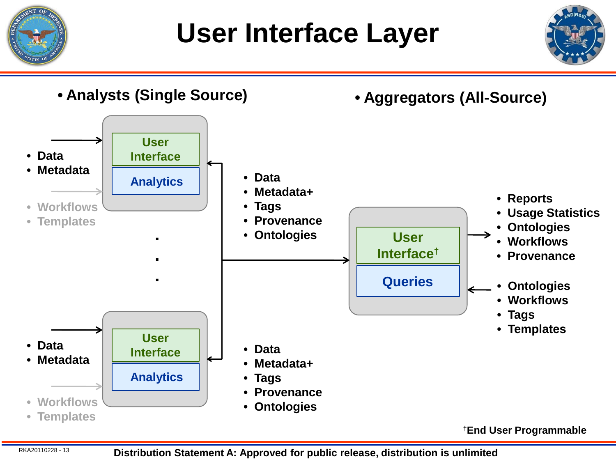

**User Interface Layer**



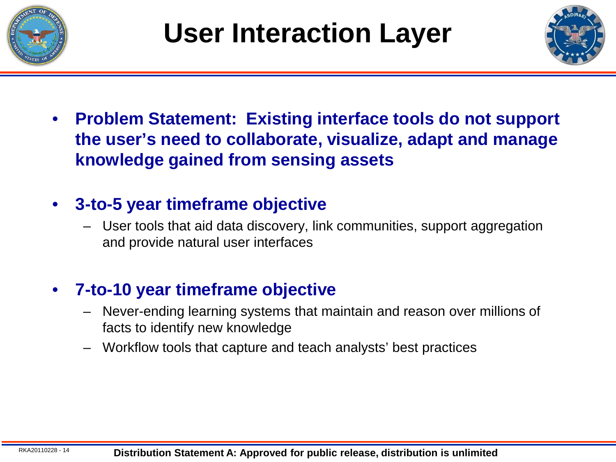



• **Problem Statement: Existing interface tools do not support the user's need to collaborate, visualize, adapt and manage knowledge gained from sensing assets**

### • **3-to-5 year timeframe objective**

– User tools that aid data discovery, link communities, support aggregation and provide natural user interfaces

### • **7-to-10 year timeframe objective**

- Never-ending learning systems that maintain and reason over millions of facts to identify new knowledge
- Workflow tools that capture and teach analysts' best practices